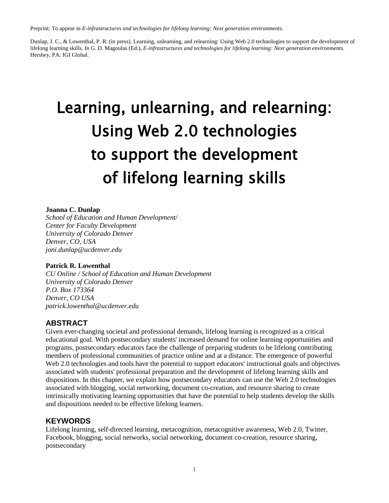Preprint: To appear in *E-infrastructures and technologies for lifelong learning: Next generation environments.*

Dunlap, J. C., & Lowenthal, P. R. (in press). Learning, unlearning, and relearning: Using Web 2.0 technologies to support the development of lifelong learning skills. In G. D. Magoulas (Ed.), *E-infrastructures and technologies for lifelong learning: Next generation environments*. Hershey, PA: IGI Global.

# Learning, unlearning, and relearning: Using Web 2.0 technologies to support the development of lifelong learning skills

#### **Joanna C. Dunlap**

*School of Education and Human Development/ Center for Faculty Development University of Colorado Denver Denver, CO, USA joni.dunlap@ucdenver.edu*

## **Patrick R. Lowenthal**

*CU Online / School of Education and Human Development University of Colorado Denver P.O. Box 173364 Denver, CO USA patrick.lowenthal@ucdenver.edu*

## **ABSTRACT**

Given ever-changing societal and professional demands, lifelong learning is recognized as a critical educational goal. With postsecondary students' increased demand for online learning opportunities and programs, postsecondary educators face the challenge of preparing students to be lifelong contributing members of professional communities of practice online and at a distance. The emergence of powerful Web 2.0 technologies and tools have the potential to support educators' instructional goals and objectives associated with students' professional preparation and the development of lifelong learning skills and dispositions. In this chapter, we explain how postsecondary educators can use the Web 2.0 technologies associated with blogging, social networking, document co-creation, and resource sharing to create intrinsically motivating learning opportunities that have the potential to help students develop the skills and dispositions needed to be effective lifelong learners.

## **KEYWORDS**

Lifelong learning, self-directed learning, metacognition, metacognitive awareness, Web 2.0, Twitter, Facebook, blogging, social networks, social networking, document co-creation, resource sharing, postsecondary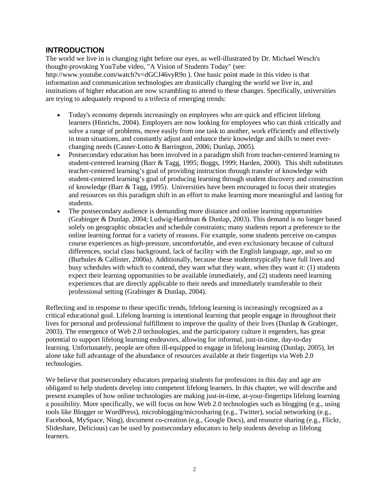# **INTRODUCTION**

The world we live in is changing right before our eyes, as well-illustrated by Dr. Michael Wesch's thought-provoking YouTube video, "A Vision of Students Today" (see:

http://www.youtube.com/watch?v=dGCJ46vyR9o ). One basic point made in this video is that information and communication technologies are drastically changing the world we live in, and institutions of higher education are now scrambling to attend to these changes. Specifically, universities are trying to adequately respond to a trifecta of emerging trends:

- Today's economy depends increasingly on employees who are quick and efficient lifelong learners (Hinrichs, 2004). Employers are now looking for employees who can think critically and solve a range of problems, move easily from one task to another, work efficiently and effectively in team situations, and constantly adjust and enhance their knowledge and skills to meet everchanging needs (Casner-Lotto & Barrington, 2006; Dunlap, 2005).
- Postsecondary education has been involved in a paradigm shift from teacher-centered learning to student-centered learning (Barr & Tagg, 1995; Boggs, 1999; Harden, 2000). This shift substitutes teacher-centered learning's goal of providing instruction through transfer of knowledge with student-centered learning's goal of producing learning through student discovery and construction of knowledge (Barr & Tagg, 1995). Universities have been encouraged to focus their strategies and resources on this paradigm shift in an effort to make learning more meaningful and lasting for students.
- The postsecondary audience is demanding more distance and online learning opportunities (Grabinger & Dunlap, 2004; Ludwig-Hardman & Dunlap, 2003). This demand is no longer based solely on geographic obstacles and schedule constraints; many students report a preference to the online learning format for a variety of reasons. For example, some students perceive on-campus course experiences as high-pressure, uncomfortable, and even exclusionary because of cultural differences, social class background, lack of facility with the English language, age, and so on (Burbules & Callister, 2000a). Additionally, because these studentstypically have full lives and busy schedules with which to contend, they want what they want, when they want it: (1) students expect their learning opportunities to be available immediately, and (2) students need learning experiences that are directly applicable to their needs and immediately transferable to their professional setting (Grabinger & Dunlap, 2004).

Reflecting and in response to these specific trends, lifelong learning is increasingly recognized as a critical educational goal. Lifelong learning is intentional learning that people engage in throughout their lives for personal and professional fulfillment to improve the quality of their lives (Dunlap & Grabinger, 2003). The emergence of Web 2.0 technologies, and the participatory culture it engenders, has great potential to support lifelong learning endeavors, allowing for informal, just-in-time, day-to-day learning. Unfortunately, people are often ill-equipped to engage in lifelong learning (Dunlap, 2005), let alone take full advantage of the abundance of resources available at their fingertips via Web 2.0 technologies.

We believe that postsecondary educators preparing students for professions in this day and age are obligated to help students develop into competent lifelong learners. In this chapter, we will describe and present examples of how online technologies are making just-in-time, at-your-fingertips lifelong learning a possibility. More specifically, we will focus on how Web 2.0 technologies such as blogging (e.g., using tools like Blogger or WordPress), microblogging/microsharing (e.g., Twitter), social networking (e.g., Facebook, MySpace, Ning), document co-creation (e.g., Google Docs), and resource sharing (e.g., Flickr, Slideshare, Delicious) can be used by postsecondary educators to help students develop as lifelong learners.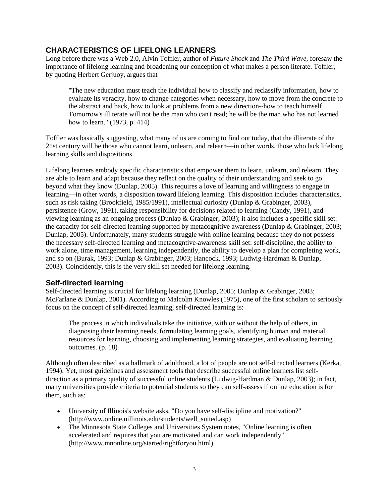# **CHARACTERISTICS OF LIFELONG LEARNERS**

Long before there was a Web 2.0, Alvin Toffler, author of *Future Shock* and *The Third Wave*, foresaw the importance of lifelong learning and broadening our conception of what makes a person literate. Toffler, by quoting Herbert Gerjuoy, argues that

"The new education must teach the individual how to classify and reclassify information, how to evaluate its veracity, how to change categories when necessary, how to move from the concrete to the abstract and back, how to look at problems from a new direction--how to teach himself. Tomorrow's illiterate will not be the man who can't read; he will be the man who has not learned how to learn." (1973, p. 414)

Toffler was basically suggesting, what many of us are coming to find out today, that the illiterate of the 21st century will be those who cannot learn, unlearn, and relearn—in other words, those who lack lifelong learning skills and dispositions.

Lifelong learners embody specific characteristics that empower them to learn, unlearn, and relearn. They are able to learn and adapt because they reflect on the quality of their understanding and seek to go beyond what they know (Dunlap, 2005). This requires a love of learning and willingness to engage in learning—in other words, a disposition toward lifelong learning. This disposition includes characteristics, such as risk taking (Brookfield, 1985/1991), intellectual curiosity (Dunlap & Grabinger, 2003), persistence (Grow, 1991), taking responsibility for decisions related to learning (Candy, 1991), and viewing learning as an ongoing process (Dunlap & Grabinger, 2003); it also includes a specific skill set: the capacity for self-directed learning supported by metacognitive awareness (Dunlap & Grabinger, 2003; Dunlap, 2005). Unfortunately, many students struggle with online learning because they do not possess the necessary self-directed learning and metacogntive-awareness skill set: self-discipline, the ability to work alone, time management, learning independently, the ability to develop a plan for completing work, and so on (Burak, 1993; Dunlap & Grabinger, 2003; Hancock, 1993; Ludwig-Hardman & Dunlap, 2003). Coincidently, this is the very skill set needed for lifelong learning.

## **Self-directed learning**

Self-directed learning is crucial for lifelong learning (Dunlap, 2005; Dunlap & Grabinger, 2003; McFarlane & Dunlap, 2001). According to Malcolm Knowles (1975), one of the first scholars to seriously focus on the concept of self-directed learning, self-directed learning is:

The process in which individuals take the initiative, with or without the help of others, in diagnosing their learning needs, formulating learning goals, identifying human and material resources for learning, choosing and implementing learning strategies, and evaluating learning outcomes. (p. 18)

Although often described as a hallmark of adulthood, a lot of people are not self-directed learners (Kerka, 1994). Yet, most guidelines and assessment tools that describe successful online learners list selfdirection as a primary quality of successful online students (Ludwig-Hardman & Dunlap, 2003); in fact, many universities provide criteria to potential students so they can self-assess if online education is for them, such as:

- University of Illinois's website asks, "Do you have self-discipline and motivation?" (http://www.online.uillinois.edu/students/well\_suited.asp)
- The Minnesota State Colleges and Universities System notes, "Online learning is often accelerated and requires that you are motivated and can work independently" (http://www.mnonline.org/started/rightforyou.html)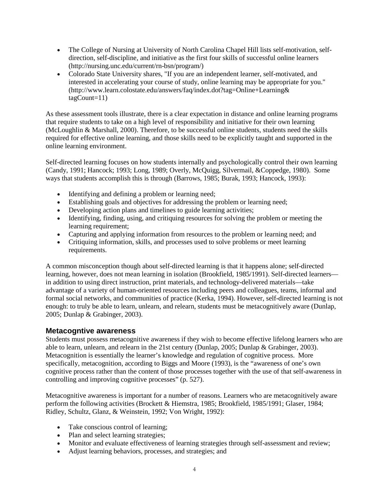- The College of Nursing at University of North Carolina Chapel Hill lists self-motivation, selfdirection, self-discipline, and initiative as the first four skills of successful online learners (http://nursing.unc.edu/current/rn-bsn/program/)
- Colorado State University shares, "If you are an independent learner, self-motivated, and interested in accelerating your course of study, online learning may be appropriate for you." (http://www.learn.colostate.edu/answers/faq/index.dot?tag=Online+Learning& tagCount=11)

As these assessment tools illustrate, there is a clear expectation in distance and online learning programs that require students to take on a high level of responsibility and initiative for their own learning (McLoughlin & Marshall, 2000). Therefore, to be successful online students, students need the skills required for effective online learning, and those skills need to be explicitly taught and supported in the online learning environment.

Self-directed learning focuses on how students internally and psychologically control their own learning (Candy, 1991; Hancock; 1993; Long, 1989; Overly, McQuigg, Silvermail, &Coppedge, 1980). Some ways that students accomplish this is through (Barrows, 1985; Burak, 1993; Hancock, 1993):

- Identifying and defining a problem or learning need;
- Establishing goals and objectives for addressing the problem or learning need;
- Developing action plans and timelines to guide learning activities;
- Identifying, finding, using, and critiquing resources for solving the problem or meeting the learning requirement;
- Capturing and applying information from resources to the problem or learning need; and
- Critiquing information, skills, and processes used to solve problems or meet learning requirements.

A common misconception though about self-directed learning is that it happens alone; self-directed learning, however, does not mean learning in isolation (Brookfield, 1985/1991). Self-directed learners in addition to using direct instruction, print materials, and technology-delivered materials—take advantage of a variety of human-oriented resources including peers and colleagues, teams, informal and formal social networks, and communities of practice (Kerka, 1994). However, self-directed learning is not enough: to truly be able to learn, unlearn, and relearn, students must be metacognitively aware (Dunlap, 2005; Dunlap & Grabinger, 2003).

## **Metacogntive awareness**

Students must possess metacognitive awareness if they wish to become effective lifelong learners who are able to learn, unlearn, and relearn in the 21st century (Dunlap, 2005; Dunlap & Grabinger, 2003). Metacognition is essentially the learner's knowledge and regulation of cognitive process. More specifically, metacognition, according to Biggs and Moore (1993), is the "awareness of one's own cognitive process rather than the content of those processes together with the use of that self-awareness in controlling and improving cognitive processes" (p. 527).

Metacognitive awareness is important for a number of reasons. Learners who are metacognitively aware perform the following activities (Brockett & Hiemstra, 1985; Brookfield, 1985/1991; Glaser, 1984; Ridley, Schultz, Glanz, & Weinstein, 1992; Von Wright, 1992):

- Take conscious control of learning:
- Plan and select learning strategies;
- Monitor and evaluate effectiveness of learning strategies through self-assessment and review;
- Adjust learning behaviors, processes, and strategies; and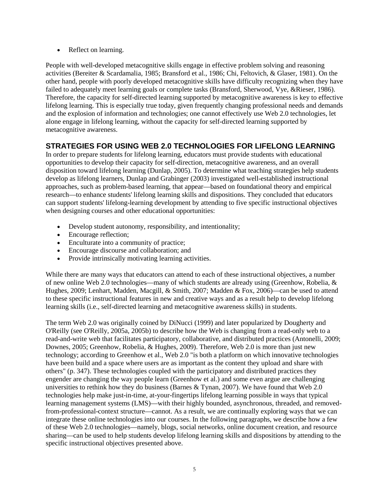• Reflect on learning.

People with well-developed metacognitive skills engage in effective problem solving and reasoning activities (Bereiter & Scardamalia, 1985; Bransford et al., 1986; Chi, Feltovich, & Glaser, 1981). On the other hand, people with poorly developed metacognitive skills have difficulty recognizing when they have failed to adequately meet learning goals or complete tasks (Bransford, Sherwood, Vye, &Rieser, 1986). Therefore, the capacity for self-directed learning supported by metacognitive awareness is key to effective lifelong learning. This is especially true today, given frequently changing professional needs and demands and the explosion of information and technologies; one cannot effectively use Web 2.0 technologies, let alone engage in lifelong learning, without the capacity for self-directed learning supported by metacognitive awareness.

# **STRATEGIES FOR USING WEB 2.0 TECHNOLOGIES FOR LIFELONG LEARNING**

In order to prepare students for lifelong learning, educators must provide students with educational opportunities to develop their capacity for self-direction, metacognitive awareness, and an overall disposition toward lifelong learning (Dunlap, 2005). To determine what teaching strategies help students develop as lifelong learners, Dunlap and Grabinger (2003) investigated well-established instructional approaches, such as problem-based learning, that appear—based on foundational theory and empirical research—to enhance students' lifelong learning skills and dispositions. They concluded that educators can support students' lifelong-learning development by attending to five specific instructional objectives when designing courses and other educational opportunities:

- Develop student autonomy, responsibility, and intentionality;
- Encourage reflection;
- Enculturate into a community of practice;
- Encourage discourse and collaboration; and
- Provide intrinsically motivating learning activities.

While there are many ways that educators can attend to each of these instructional objectives, a number of new online Web 2.0 technologies—many of which students are already using (Greenhow, Robelia, & Hughes, 2009; Lenhart, Madden, Macgill, & Smith, 2007; Madden & Fox, 2006)—can be used to attend to these specific instructional features in new and creative ways and as a result help to develop lifelong learning skills (i.e., self-directed learning and metacognitive awareness skills) in students.

The term Web 2.0 was originally coined by DiNucci (1999) and later popularized by Dougherty and O'Reilly (see O'Reilly, 2005a, 2005b) to describe how the Web is changing from a read-only web to a read-and-write web that facilitates participatory, collaborative, and distributed practices (Antonelli, 2009; Downes, 2005; Greenhow, Robelia, & Hughes, 2009). Therefore, Web 2.0 is more than just new technology; according to Greenhow et al., Web 2.0 "is both a platform on which innovative technologies have been build and a space where users are as important as the content they upload and share with others" (p. 347). These technologies coupled with the participatory and distributed practices they engender are changing the way people learn (Greenhow et al.) and some even argue are challenging universities to rethink how they do business (Barnes & Tynan, 2007). We have found that Web 2.0 technologies help make just-in-time, at-your-fingertips lifelong learning possible in ways that typical learning management systems (LMS)—with their highly bounded, asynchronous, threaded, and removedfrom-professional-context structure—cannot. As a result, we are continually exploring ways that we can integrate these online technologies into our courses. In the following paragraphs, we describe how a few of these Web 2.0 technologies—namely, blogs, social networks, online document creation, and resource sharing—can be used to help students develop lifelong learning skills and dispositions by attending to the specific instructional objectives presented above.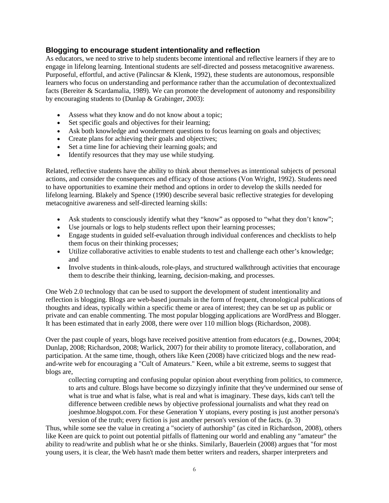## **Blogging to encourage student intentionality and reflection**

As educators, we need to strive to help students become intentional and reflective learners if they are to engage in lifelong learning. Intentional students are self-directed and possess metacognitive awareness. Purposeful, effortful, and active (Palincsar & Klenk, 1992), these students are autonomous, responsible learners who focus on understanding and performance rather than the accumulation of decontextualized facts (Bereiter & Scardamalia, 1989). We can promote the development of autonomy and responsibility by encouraging students to (Dunlap & Grabinger, 2003):

- Assess what they know and do not know about a topic;
- Set specific goals and objectives for their learning;
- Ask both knowledge and wonderment questions to focus learning on goals and objectives;
- Create plans for achieving their goals and objectives;
- Set a time line for achieving their learning goals; and
- Identify resources that they may use while studying.

Related, reflective students have the ability to think about themselves as intentional subjects of personal actions, and consider the consequences and efficacy of those actions (Von Wright, 1992). Students need to have opportunities to examine their method and options in order to develop the skills needed for lifelong learning. Blakely and Spence (1990) describe several basic reflective strategies for developing metacognitive awareness and self-directed learning skills:

- Ask students to consciously identify what they "know" as opposed to "what they don't know";
- Use journals or logs to help students reflect upon their learning processes;
- Engage students in guided self-evaluation through individual conferences and checklists to help them focus on their thinking processes;
- Utilize collaborative activities to enable students to test and challenge each other's knowledge; and
- Involve students in think-alouds, role-plays, and structured walkthrough activities that encourage them to describe their thinking, learning, decision-making, and processes.

One Web 2.0 technology that can be used to support the development of student intentionality and reflection is blogging. Blogs are web-based journals in the form of frequent, chronological publications of thoughts and ideas, typically within a specific theme or area of interest; they can be set up as public or private and can enable commenting. The most popular blogging applications are WordPress and Blogger. It has been estimated that in early 2008, there were over 110 million blogs (Richardson, 2008).

Over the past couple of years, blogs have received positive attention from educators (e.g., Downes, 2004; Dunlap, 2008; Richardson, 2008; Warlick, 2007) for their ability to promote literacy, collaboration, and participation. At the same time, though, others like Keen (2008) have criticized blogs and the new readand-write web for encouraging a "Cult of Amateurs." Keen, while a bit extreme, seems to suggest that blogs are,

collecting corrupting and confusing popular opinion about everything from politics, to commerce, to arts and culture. Blogs have become so dizzyingly infinite that they've undermined our sense of what is true and what is false, what is real and what is imaginary. These days, kids can't tell the difference between credible news by objective professional journalists and what they read on joeshmoe.blogspot.com. For these Generation Y utopians, every posting is just another persona's version of the truth; every fiction is just another person's version of the facts. (p. 3)

Thus, while some see the value in creating a "society of authorship" (as cited in Richardson, 2008), others like Keen are quick to point out potential pitfalls of flattening our world and enabling any "amateur" the ability to read/write and publish what he or she thinks. Similarly, Bauerlein (2008) argues that "for most young users, it is clear, the Web hasn't made them better writers and readers, sharper interpreters and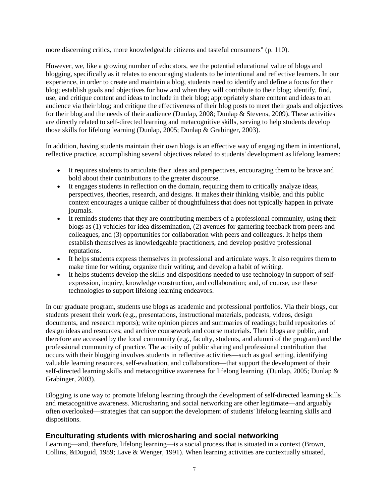more discerning critics, more knowledgeable citizens and tasteful consumers" (p. 110).

However, we, like a growing number of educators, see the potential educational value of blogs and blogging, specifically as it relates to encouraging students to be intentional and reflective learners. In our experience, in order to create and maintain a blog, students need to identify and define a focus for their blog; establish goals and objectives for how and when they will contribute to their blog; identify, find, use, and critique content and ideas to include in their blog; appropriately share content and ideas to an audience via their blog; and critique the effectiveness of their blog posts to meet their goals and objectives for their blog and the needs of their audience (Dunlap, 2008; Dunlap & Stevens, 2009). These activities are directly related to self-directed learning and metacognitive skills, serving to help students develop those skills for lifelong learning (Dunlap, 2005; Dunlap & Grabinger, 2003).

In addition, having students maintain their own blogs is an effective way of engaging them in intentional, reflective practice, accomplishing several objectives related to students' development as lifelong learners:

- It requires students to articulate their ideas and perspectives, encouraging them to be brave and bold about their contributions to the greater discourse.
- It engages students in reflection on the domain, requiring them to critically analyze ideas, perspectives, theories, research, and designs. It makes their thinking visible, and this public context encourages a unique caliber of thoughtfulness that does not typically happen in private journals.
- It reminds students that they are contributing members of a professional community, using their blogs as (1) vehicles for idea dissemination, (2) avenues for garnering feedback from peers and colleagues, and (3) opportunities for collaboration with peers and colleagues. It helps them establish themselves as knowledgeable practitioners, and develop positive professional reputations.
- It helps students express themselves in professional and articulate ways. It also requires them to make time for writing, organize their writing, and develop a habit of writing.
- It helps students develop the skills and dispositions needed to use technology in support of selfexpression, inquiry, knowledge construction, and collaboration; and, of course, use these technologies to support lifelong learning endeavors.

In our graduate program, students use blogs as academic and professional portfolios. Via their blogs, our students present their work (e.g., presentations, instructional materials, podcasts, videos, design documents, and research reports); write opinion pieces and summaries of readings; build repositories of design ideas and resources; and archive coursework and course materials. Their blogs are public, and therefore are accessed by the local community (e.g., faculty, students, and alumni of the program) and the professional community of practice. The activity of public sharing and professional contribution that occurs with their blogging involves students in reflective activities—such as goal setting, identifying valuable learning resources, self-evaluation, and collaboration—that support the development of their self-directed learning skills and metacognitive awareness for lifelong learning (Dunlap, 2005; Dunlap & Grabinger, 2003).

Blogging is one way to promote lifelong learning through the development of self-directed learning skills and metacognitive awareness. Microsharing and social networking are other legitimate—and arguably often overlooked—strategies that can support the development of students' lifelong learning skills and dispositions.

## **Enculturating students with microsharing and social networking**

Learning—and, therefore, lifelong learning—is a social process that is situated in a context (Brown, Collins, &Duguid, 1989; Lave & Wenger, 1991). When learning activities are contextually situated,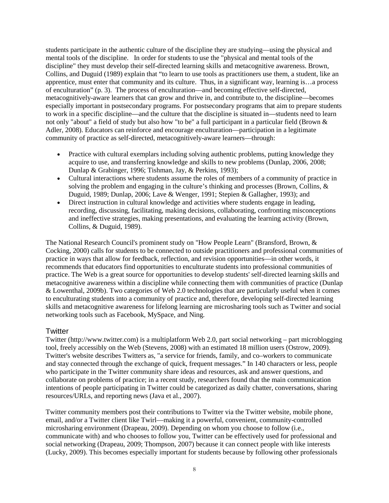students participate in the authentic culture of the discipline they are studying—using the physical and mental tools of the discipline. In order for students to use the "physical and mental tools of the discipline" they must develop their self-directed learning skills and metacognitive awareness. Brown, Collins, and Duguid (1989) explain that "to learn to use tools as practitioners use them, a student, like an apprentice, must enter that community and its culture. Thus, in a significant way, learning is…a process of enculturation" (p. 3). The process of enculturation—and becoming effective self-directed, metacognitively-aware learners that can grow and thrive in, and contribute to, the discipline—becomes especially important in postsecondary programs. For postsecondary programs that aim to prepare students to work in a specific discipline—and the culture that the discipline is situated in—students need to learn not only "about" a field of study but also how "to be" a full participant in a particular field (Brown & Adler, 2008). Educators can reinforce and encourage enculturation—participation in a legitimate community of practice as self-directed, metacognitively-aware learners—through:

- Practice with cultural exemplars including solving authentic problems, putting knowledge they acquire to use, and transferring knowledge and skills to new problems (Dunlap, 2006, 2008; Dunlap & Grabinger, 1996; Tishman, Jay, & Perkins, 1993);
- Cultural interactions where students assume the roles of members of a community of practice in solving the problem and engaging in the culture's thinking and processes (Brown, Collins, & Duguid, 1989; Dunlap, 2006; Lave & Wenger, 1991; Stepien & Gallagher, 1993); and
- Direct instruction in cultural knowledge and activities where students engage in leading, recording, discussing, facilitating, making decisions, collaborating, confronting misconceptions and ineffective strategies, making presentations, and evaluating the learning activity (Brown, Collins, & Duguid, 1989).

The National Research Council's prominent study on "How People Learn" (Bransford, Brown, & Cocking, 2000) calls for students to be connected to outside practitioners and professional communities of practice in ways that allow for feedback, reflection, and revision opportunities—in other words, it recommends that educators find opportunities to enculturate students into professional communities of practice. The Web is a great source for opportunities to develop students' self-directed learning skills and metacognitive awareness within a discipline while connecting them with communities of practice (Dunlap & Lowenthal, 2009b). Two categories of Web 2.0 technologies that are particularly useful when it comes to enculturating students into a community of practice and, therefore, developing self-directed learning skills and metacognitive awareness for lifelong learning are microsharing tools such as Twitter and social networking tools such as Facebook, MySpace, and Ning.

## **Twitter**

Twitter (http://www.twitter.com) is a multiplatform Web 2.0, part social networking – part microblogging tool, freely accessibly on the Web (Stevens, 2008) with an estimated 18 million users (Ostrow, 2009). Twitter's website describes Twitters as, "a service for friends, family, and co–workers to communicate and stay connected through the exchange of quick, frequent messages." In 140 characters or less, people who participate in the Twitter community share ideas and resources, ask and answer questions, and collaborate on problems of practice; in a recent study, researchers found that the main communication intentions of people participating in Twitter could be categorized as daily chatter, conversations, sharing resources/URLs, and reporting news (Java et al., 2007).

Twitter community members post their contributions to Twitter via the Twitter website, mobile phone, email, and/or a Twitter client like Twirl—making it a powerful, convenient, community-controlled microsharing environment (Drapeau, 2009). Depending on whom you choose to follow (i.e., communicate with) and who chooses to follow you, Twitter can be effectively used for professional and social networking (Drapeau, 2009; Thompson, 2007) because it can connect people with like interests (Lucky, 2009). This becomes especially important for students because by following other professionals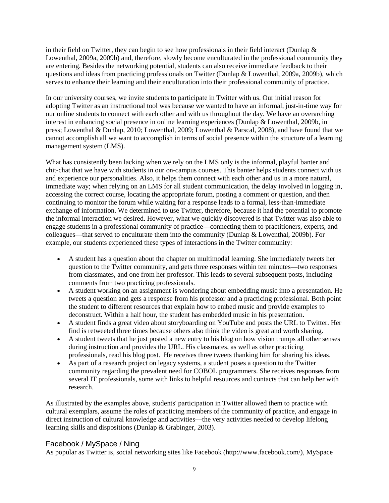in their field on Twitter, they can begin to see how professionals in their field interact (Dunlap  $\&$ Lowenthal, 2009a, 2009b) and, therefore, slowly become enculturated in the professional community they are entering. Besides the networking potential, students can also receive immediate feedback to their questions and ideas from practicing professionals on Twitter (Dunlap & Lowenthal, 2009a, 2009b), which serves to enhance their learning and their enculturation into their professional community of practice.

In our university courses, we invite students to participate in Twitter with us. Our initial reason for adopting Twitter as an instructional tool was because we wanted to have an informal, just-in-time way for our online students to connect with each other and with us throughout the day. We have an overarching interest in enhancing social presence in online learning experiences (Dunlap & Lowenthal, 2009b, in press; Lowenthal & Dunlap, 2010; Lowenthal, 2009; Lowenthal & Parscal, 2008), and have found that we cannot accomplish all we want to accomplish in terms of social presence within the structure of a learning management system (LMS).

What has consistently been lacking when we rely on the LMS only is the informal, playful banter and chit-chat that we have with students in our on-campus courses. This banter helps students connect with us and experience our personalities. Also, it helps them connect with each other and us in a more natural, immediate way; when relying on an LMS for all student communication, the delay involved in logging in, accessing the correct course, locating the appropriate forum, posting a comment or question, and then continuing to monitor the forum while waiting for a response leads to a formal, less-than-immediate exchange of information. We determined to use Twitter, therefore, because it had the potential to promote the informal interaction we desired. However, what we quickly discovered is that Twitter was also able to engage students in a professional community of practice—connecting them to practitioners, experts, and colleagues—that served to enculturate them into the community (Dunlap & Lowenthal, 2009b). For example, our students experienced these types of interactions in the Twitter community:

- A student has a question about the chapter on multimodal learning. She immediately tweets her question to the Twitter community, and gets three responses within ten minutes—two responses from classmates, and one from her professor. This leads to several subsequent posts, including comments from two practicing professionals.
- A student working on an assignment is wondering about embedding music into a presentation. He tweets a question and gets a response from his professor and a practicing professional. Both point the student to different resources that explain how to embed music and provide examples to deconstruct. Within a half hour, the student has embedded music in his presentation.
- A student finds a great video about storyboarding on YouTube and posts the URL to Twitter. Her find is retweeted three times because others also think the video is great and worth sharing.
- A student tweets that he just posted a new entry to his blog on how vision trumps all other senses during instruction and provides the URL. His classmates, as well as other practicing professionals, read his blog post. He receives three tweets thanking him for sharing his ideas.
- As part of a research project on legacy systems, a student poses a question to the Twitter community regarding the prevalent need for COBOL programmers. She receives responses from several IT professionals, some with links to helpful resources and contacts that can help her with research.

As illustrated by the examples above, students' participation in Twitter allowed them to practice with cultural exemplars, assume the roles of practicing members of the community of practice, and engage in direct instruction of cultural knowledge and activities—the very activities needed to develop lifelong learning skills and dispositions (Dunlap & Grabinger, 2003).

## Facebook / MySpace / Ning

As popular as Twitter is, social networking sites like Facebook (http://www.facebook.com/), MySpace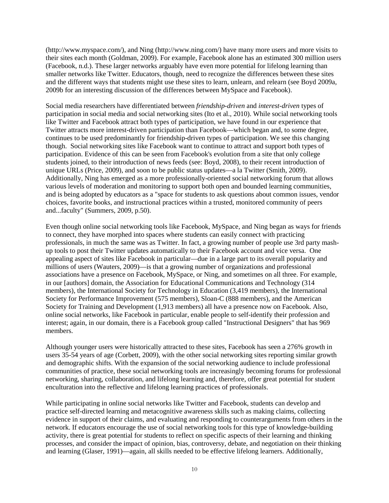(http://www.myspace.com/), and Ning (http://www.ning.com/) have many more users and more visits to their sites each month (Goldman, 2009). For example, Facebook alone has an estimated 300 million users (Facebook, n.d.). These larger networks arguably have even more potential for lifelong learning than smaller networks like Twitter. Educators, though, need to recognize the differences between these sites and the different ways that students might use these sites to learn, unlearn, and relearn (see Boyd 2009a, 2009b for an interesting discussion of the differences between MySpace and Facebook).

Social media researchers have differentiated between *friendship-driven* and *interest-driven* types of participation in social media and social networking sites (Ito et al., 2010). While social networking tools like Twitter and Facebook attract both types of participation, we have found in our experience that Twitter attracts more interest-driven participation than Facebook—which began and, to some degree, continues to be used predominantly for friendship-driven types of participation. We see this changing though. Social networking sites like Facebook want to continue to attract and support both types of participation. Evidence of this can be seen from Facebook's evolution from a site that only college students joined, to their introduction of news feeds (see: Boyd, 2008), to their recent introduction of unique URLs (Price, 2009), and soon to be public status updates—a la Twitter (Smith, 2009). Additionally, Ning has emerged as a more professionally-oriented social networking forum that allows various levels of moderation and monitoring to support both open and bounded learning communities, and is being adopted by educators as a "space for students to ask questions about common issues, vendor choices, favorite books, and instructional practices within a trusted, monitored community of peers and...faculty" (Summers, 2009, p.50).

Even though online social networking tools like Facebook, MySpace, and Ning began as ways for friends to connect, they have morphed into spaces where students can easily connect with practicing professionals, in much the same was as Twitter. In fact, a growing number of people use 3rd party mashup tools to post their Twitter updates automatically to their Facebook account and vice versa. One appealing aspect of sites like Facebook in particular—due in a large part to its overall popularity and millions of users (Wauters, 2009)—is that a growing number of organizations and professional associations have a presence on Facebook, MySpace, or Ning, and sometimes on all three. For example, in our [authors] domain, the Association for Educational Communications and Technology (314 members), the International Society for Technology in Education (3,419 members), the International Society for Performance Improvement (575 members), Sloan-C (888 members), and the American Society for Training and Development (1,913 members) all have a presence now on Facebook. Also, online social networks, like Facebook in particular, enable people to self-identify their profession and interest; again, in our domain, there is a Facebook group called "Instructional Designers" that has 969 members.

Although younger users were historically attracted to these sites, Facebook has seen a 276% growth in users 35-54 years of age (Corbett, 2009), with the other social networking sites reporting similar growth and demographic shifts. With the expansion of the social networking audience to include professional communities of practice, these social networking tools are increasingly becoming forums for professional networking, sharing, collaboration, and lifelong learning and, therefore, offer great potential for student enculturation into the reflective and lifelong learning practices of professionals.

While participating in online social networks like Twitter and Facebook, students can develop and practice self-directed learning and metacognitive awareness skills such as making claims, collecting evidence in support of their claims, and evaluating and responding to counterarguments from others in the network. If educators encourage the use of social networking tools for this type of knowledge-building activity, there is great potential for students to reflect on specific aspects of their learning and thinking processes, and consider the impact of opinion, bias, controversy, debate, and negotiation on their thinking and learning (Glaser, 1991)—again, all skills needed to be effective lifelong learners. Additionally,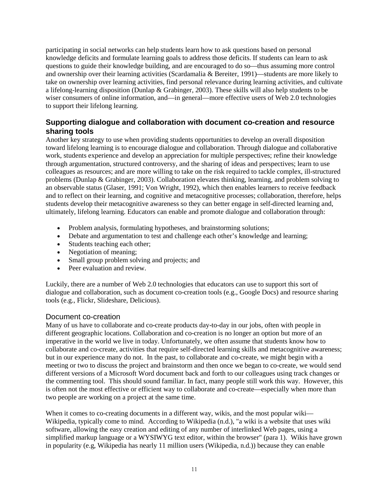participating in social networks can help students learn how to ask questions based on personal knowledge deficits and formulate learning goals to address those deficits. If students can learn to ask questions to guide their knowledge building, and are encouraged to do so—thus assuming more control and ownership over their learning activities (Scardamalia & Bereiter, 1991)—students are more likely to take on ownership over learning activities, find personal relevance during learning activities, and cultivate a lifelong-learning disposition (Dunlap & Grabinger, 2003). These skills will also help students to be wiser consumers of online information, and—in general—more effective users of Web 2.0 technologies to support their lifelong learning.

## **Supporting dialogue and collaboration with document co-creation and resource sharing tools**

Another key strategy to use when providing students opportunities to develop an overall disposition toward lifelong learning is to encourage dialogue and collaboration. Through dialogue and collaborative work, students experience and develop an appreciation for multiple perspectives; refine their knowledge through argumentation, structured controversy, and the sharing of ideas and perspectives; learn to use colleagues as resources; and are more willing to take on the risk required to tackle complex, ill-structured problems (Dunlap & Grabinger, 2003). Collaboration elevates thinking, learning, and problem solving to an observable status (Glaser, 1991; Von Wright, 1992), which then enables learners to receive feedback and to reflect on their learning, and cognitive and metacognitive processes; collaboration, therefore, helps students develop their metacognitive awareness so they can better engage in self-directed learning and, ultimately, lifelong learning. Educators can enable and promote dialogue and collaboration through:

- Problem analysis, formulating hypotheses, and brainstorming solutions;
- Debate and argumentation to test and challenge each other's knowledge and learning;
- Students teaching each other;
- Negotiation of meaning;
- Small group problem solving and projects; and
- Peer evaluation and review.

Luckily, there are a number of Web 2.0 technologies that educators can use to support this sort of dialogue and collaboration, such as document co-creation tools (e.g., Google Docs) and resource sharing tools (e.g., Flickr, Slideshare, Delicious).

#### Document co-creation

Many of us have to collaborate and co-create products day-to-day in our jobs, often with people in different geographic locations. Collaboration and co-creation is no longer an option but more of an imperative in the world we live in today. Unfortunately, we often assume that students know how to collaborate and co-create, activities that require self-directed learning skills and metacognitive awareness; but in our experience many do not. In the past, to collaborate and co-create, we might begin with a meeting or two to discuss the project and brainstorm and then once we began to co-create, we would send different versions of a Microsoft Word document back and forth to our colleagues using track changes or the commenting tool. This should sound familiar. In fact, many people still work this way. However, this is often not the most effective or efficient way to collaborate and co-create—especially when more than two people are working on a project at the same time.

When it comes to co-creating documents in a different way, wikis, and the most popular wiki— Wikipedia, typically come to mind. According to Wikipedia (n.d.), "a wiki is a website that uses wiki software, allowing the easy creation and editing of any number of interlinked Web pages, using a simplified markup language or a WYSIWYG text editor, within the browser" (para 1). Wikis have grown in popularity (e.g, Wikipedia has nearly 11 million users (Wikipedia, n.d.)) because they can enable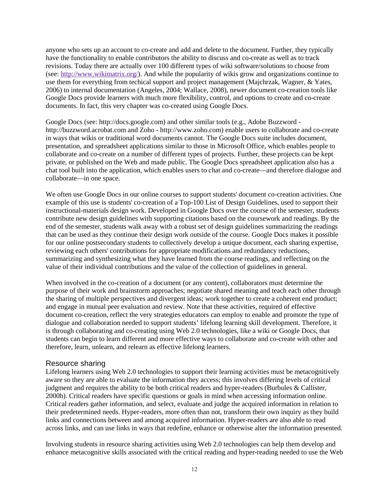anyone who sets up an account to co-create and add and delete to the document. Further, they typically have the functionality to enable contributors the ability to discuss and co-create as well as to track revisions. Today there are actually over 100 different types of wiki software/solutions to choose from (see: [http://www.wikimatrix.org/\)](http://www.wikimatrix.org/). And while the popularity of wikis grow and organizations continue to use them for everything from techical support and project management (Majchrzak, Wagner, & Yates, 2006) to internal documentation (Angeles, 2004; Wallace, 2008), newer document co-creation tools like Google Docs provide learners with much more flexibility, control, and options to create and co-create documents. In fact, this very chapter was co-created using Google Docs.

Google Docs (see: http://docs.google.com) and other similar tools (e.g., Adobe Buzzword http://buzzword.acrobat.com and Zoho - http://www.zoho.com) enable users to collaborate and co-create in ways that wikis or traditional word documents cannot. The Google Docs suite includes document, presentation, and spreadsheet applications similar to those in Microsoft Office, which enables people to collaborate and co-create on a number of different types of projects. Further, these projects can be kept private, or published on the Web and made public. The Google Docs spreadsheet application also has a chat tool built into the application, which enables users to chat and co-create—and therefore dialogue and collaborate—in one space.

We often use Google Docs in our online courses to support students' document co-creation activities. One example of this use is students' co-creation of a Top-100 List of Design Guidelines, used to support their instructional-materials design work. Developed in Google Docs over the course of the semester, students contribute new design guidelines with supporting citations based on the coursework and readings. By the end of the semester, students walk away with a robust set of design guidelines summarizing the readings that can be used as they continue their design work outside of the course. Google Docs makes it possible for our online postsecondary students to collectively develop a unique document, each sharing expertise, reviewing each others' contributions for appropriate modifications and redundancy reductions, summarizing and synthesizing what they have learned from the course readings, and reflecting on the value of their individual contributions and the value of the collection of guidelines in general.

When involved in the co-creation of a document (or any content), collaborators must determine the purpose of their work and brainstorm approaches; negotiate shared meaning and teach each other through the sharing of multiple perspectives and divergent ideas; work together to create a coherent end product; and engage in mutual peer evaluation and review. Note that these activities, required of effective document co-creation, reflect the very strategies educators can employ to enable and promote the type of dialogue and collaboration needed to support students' lifelong learning skill development. Therefore, it is through collaborating and co-creating using Web 2.0 technologies, like a wiki or Google Docs, that students can begin to learn different and more effective ways to collaborate and co-create with other and therefore, learn, unlearn, and relearn as effective lifelong learners.

#### Resource sharing

Lifelong learners using Web 2.0 technologies to support their learning activities must be metacognitively aware so they are able to evaluate the information they access; this involves differing levels of critical judgment and requires the ability to be both critical readers and hyper-readers (Burbules & Callister, 2000b). Critical readers have specific questions or goals in mind when accessing information online. Critical readers gather information, and select, evaluate and judge the acquired information in relation to their predetermined needs. Hyper-readers, more often than not, transform their own inquiry as they build links and connections between and among acquired information. Hyper-readers are also able to read across links, and can use links in ways that redefine, enhance or otherwise alter the information presented.

Involving students in resource sharing activities using Web 2.0 technologies can help them develop and enhance metacognitive skills associated with the critical reading and hyper-reading needed to use the Web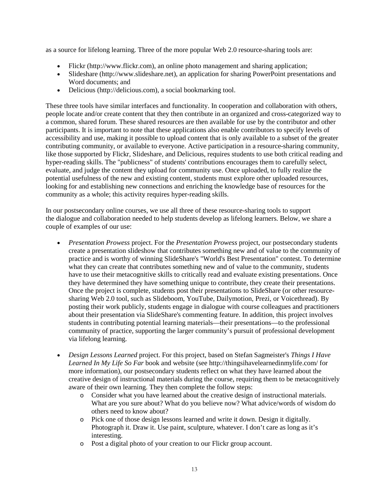as a source for lifelong learning. Three of the more popular Web 2.0 resource-sharing tools are:

- Flickr (http://www.flickr.com), an online photo management and sharing application;
- Slideshare (http://www.slideshare.net), an application for sharing PowerPoint presentations and Word documents; and
- Delicious (http://delicious.com), a social bookmarking tool.

These three tools have similar interfaces and functionality. In cooperation and collaboration with others, people locate and/or create content that they then contribute in an organized and cross-categorized way to a common, shared forum. These shared resources are then available for use by the contributor and other participants. It is important to note that these applications also enable contributors to specify levels of accessibility and use, making it possible to upload content that is only available to a subset of the greater contributing community, or available to everyone. Active participation in a resource-sharing community, like those supported by Flickr, Slideshare, and Delicious, requires students to use both critical reading and hyper-reading skills. The "publicness" of students' contributions encourages them to carefully select, evaluate, and judge the content they upload for community use. Once uploaded, to fully realize the potential usefulness of the new and existing content, students must explore other uploaded resources, looking for and establishing new connections and enriching the knowledge base of resources for the community as a whole; this activity requires hyper-reading skills.

In our postsecondary online courses, we use all three of these resource-sharing tools to support the dialogue and collaboration needed to help students develop as lifelong learners. Below, we share a couple of examples of our use:

- *Presentation Prowess* project. For the *Presentation Prowess* project, our postsecondary students create a presentation slideshow that contributes something new and of value to the community of practice and is worthy of winning SlideShare's "World's Best Presentation" contest. To determine what they can create that contributes something new and of value to the community, students have to use their metacognitive skills to critically read and evaluate existing presentations. Once they have determined they have something unique to contribute, they create their presentations. Once the project is complete, students post their presentations to SlideShare (or other resourcesharing Web 2.0 tool, such as Slideboom, YouTube, Dailymotion, Prezi, or Voicethread). By posting their work publicly, students engage in dialogue with course colleagues and practitioners about their presentation via SlideShare's commenting feature. In addition, this project involves students in contributing potential learning materials—their presentations—to the professional community of practice, supporting the larger community's pursuit of professional development via lifelong learning.
- *Design Lessons Learned* project. For this project, based on Stefan Sagmeister's *Things I Have Learned In My Life So Far* book and website (see http://thingsihavelearnedinmylife.com/ for more information), our postsecondary students reflect on what they have learned about the creative design of instructional materials during the course, requiring them to be metacognitively aware of their own learning. They then complete the follow steps:
	- o Consider what you have learned about the creative design of instructional materials. What are you sure about? What do you believe now? What advice/words of wisdom do others need to know about?
	- o Pick one of those design lessons learned and write it down. Design it digitally. Photograph it. Draw it. Use paint, sculpture, whatever. I don't care as long as it's interesting.
	- o Post a digital photo of your creation to our Flickr group account.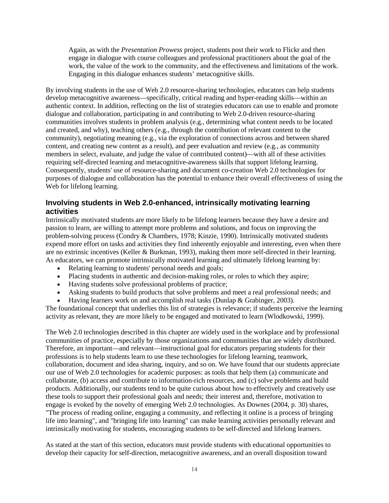Again, as with the *Presentation Prowess* project, students post their work to Flickr and then engage in dialogue with course colleagues and professional practitioners about the goal of the work, the value of the work to the community, and the effectiveness and limitations of the work. Engaging in this dialogue enhances students' metacognitive skills.

By involving students in the use of Web 2.0 resource-sharing technologies, educators can help students develop metacognitive awareness—specifically, critical reading and hyper-reading skills—within an authentic context. In addition, reflecting on the list of strategies educators can use to enable and promote dialogue and collaboration, participating in and contributing to Web 2.0-driven resource-sharing communities involves students in problem analysis (e.g., determining what content needs to be located and created, and why), teaching others (e.g., through the contribution of relevant content to the community), negotiating meaning (e.g., via the exploration of connections across and between shared content, and creating new content as a result), and peer evaluation and review (e.g., as community members in select, evaluate, and judge the value of contributed content)—with all of these activities requiring self-directed learning and metacognitive-awareness skills that support lifelong learning. Consequently, students' use of resource-sharing and document co-creation Web 2.0 technologies for purposes of dialogue and collaboration has the potential to enhance their overall effectiveness of using the Web for lifelong learning.

# **Involving students in Web 2.0-enhanced, intrinsically motivating learning activities**

Intrinsically motivated students are more likely to be lifelong learners because they have a desire and passion to learn, are willing to attempt more problems and solutions, and focus on improving the problem-solving process (Condry & Chambers, 1978; Kinzie, 1990). Intrinsically motivated students expend more effort on tasks and activities they find inherently enjoyable and interesting, even when there are no extrinsic incentives (Keller & Burkman, 1993), making them more self-directed in their learning. As educators, we can promote intrinsically motivated learning and ultimately lifelong learning by:

- Relating learning to students' personal needs and goals;
- Placing students in authentic and decision-making roles, or roles to which they aspire;
- Having students solve professional problems of practice;
- Asking students to build products that solve problems and meet a real professional needs; and
- Having learners work on and accomplish real tasks (Dunlap & Grabinger, 2003).

The foundational concept that underlies this list of strategies is relevance; if students perceive the learning activity as relevant, they are more likely to be engaged and motivated to learn (Wlodkowski, 1999).

The Web 2.0 technologies described in this chapter are widely used in the workplace and by professional communities of practice, especially by those organizations and communities that are widely distributed. Therefore, an important—and relevant—instructional goal for educators preparing students for their professions is to help students learn to use these technologies for lifelong learning, teamwork, collaboration, document and idea sharing, inquiry, and so on. We have found that our students appreciate our use of Web 2.0 technologies for academic purposes: as tools that help them (a) communicate and collaborate, (b) access and contribute to information-rich resources, and (c) solve problems and build products. Additionally, our students tend to be quite curious about how to effectively and creatively use these tools to support their professional goals and needs; their interest and, therefore, motivation to engage is evoked by the novelty of emerging Web 2.0 technologies. As Downes (2004, p. 30) shares, "The process of reading online, engaging a community, and reflecting it online is a process of bringing life into learning", and "bringing life into learning" can make learning activities personally relevant and intrinsically motivating for students, encouraging students to be self-directed and lifelong learners.

As stated at the start of this section, educators must provide students with educational opportunities to develop their capacity for self-direction, metacognitive awareness, and an overall disposition toward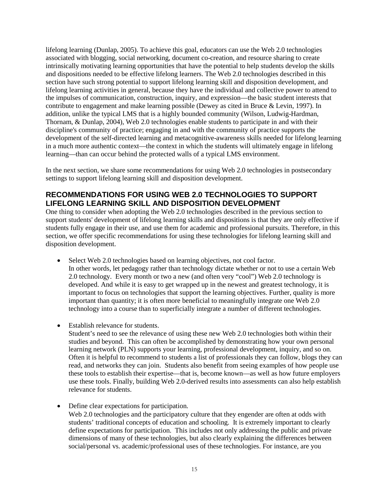lifelong learning (Dunlap, 2005). To achieve this goal, educators can use the Web 2.0 technologies associated with blogging, social networking, document co-creation, and resource sharing to create intrinsically motivating learning opportunities that have the potential to help students develop the skills and dispositions needed to be effective lifelong learners. The Web 2.0 technologies described in this section have such strong potential to support lifelong learning skill and disposition development, and lifelong learning activities in general, because they have the individual and collective power to attend to the impulses of communication, construction, inquiry, and expression—the basic student interests that contribute to engagement and make learning possible (Dewey as cited in Bruce & Levin, 1997). In addition, unlike the typical LMS that is a highly bounded community (Wilson, Ludwig-Hardman, Thornam, & Dunlap, 2004), Web 2.0 technologies enable students to participate in and with their discipline's community of practice; engaging in and with the community of practice supports the development of the self-directed learning and metacognitive-awareness skills needed for lifelong learning in a much more authentic context—the context in which the students will ultimately engage in lifelong learning—than can occur behind the protected walls of a typical LMS environment.

In the next section, we share some recommendations for using Web 2.0 technologies in postsecondary settings to support lifelong learning skill and disposition development.

# **RECOMMENDATIONS FOR USING WEB 2.0 TECHNOLOGIES TO SUPPORT LIFELONG LEARNING SKILL AND DISPOSITION DEVELOPMENT**

One thing to consider when adopting the Web 2.0 technologies described in the previous section to support students' development of lifelong learning skills and dispositions is that they are only effective if students fully engage in their use, and use them for academic and professional pursuits. Therefore, in this section, we offer specific recommendations for using these technologies for lifelong learning skill and disposition development.

- Select Web 2.0 technologies based on learning objectives, not cool factor. In other words, let pedagogy rather than technology dictate whether or not to use a certain Web 2.0 technology. Every month or two a new (and often very "cool") Web 2.0 technology is developed. And while it is easy to get wrapped up in the newest and greatest technology, it is important to focus on technologies that support the learning objectives. Further, quality is more important than quantity; it is often more beneficial to meaningfully integrate one Web 2.0 technology into a course than to superficially integrate a number of different technologies.
- Establish relevance for students.

Student's need to see the relevance of using these new Web 2.0 technologies both within their studies and beyond. This can often be accomplished by demonstrating how your own personal learning network (PLN) supports your learning, professional development, inquiry, and so on. Often it is helpful to recommend to students a list of professionals they can follow, blogs they can read, and networks they can join. Students also benefit from seeing examples of how people use these tools to establish their expertise—that is, become known—as well as how future employers use these tools. Finally, building Web 2.0-derived results into assessments can also help establish relevance for students.

• Define clear expectations for participation. Web 2.0 technologies and the participatory culture that they engender are often at odds with students' traditional concepts of education and schooling. It is extremely important to clearly define expectations for participation. This includes not only addressing the public and private dimensions of many of these technologies, but also clearly explaining the differences between social/personal vs. academic/professional uses of these technologies. For instance, are you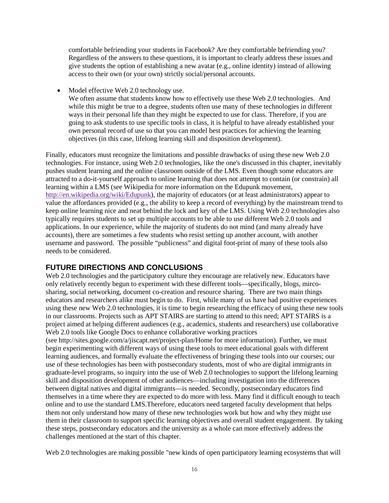comfortable befriending your students in Facebook? Are they comfortable befriending you? Regardless of the answers to these questions, it is important to clearly address these issues and give students the option of establishing a new avatar (e.g., online identity) instead of allowing access to their own (or your own) strictly social/personal accounts.

• Model effective Web 2.0 technology use.

We often assume that students know how to effectively use these Web 2.0 technologies. And while this might be true to a degree, students often use many of these technologies in different ways in their personal life than they might be expected to use for class. Therefore, if you are going to ask students to use specific tools in class, it is helpful to have already established your own personal record of use so that you can model best practices for achieving the learning objectives (in this case, lifelong learning skill and disposition development).

Finally, educators must recognize the limitations and possible drawbacks of using these new Web 2.0 technologies. For instance, using Web 2.0 technologies, like the one's discussed in this chapter, inevitably pushes student learning and the online classroom outside of the LMS. Even though some educators are attracted to a do-it-yourself approach to online learning that does not attempt to contain (or constrain) all learning within a LMS (see Wikipedia for more information on the Edupunk movement, [http://en.wikipedia.org/wiki/Edupunk\)](http://en.wikipedia.org/wiki/Edupunk), the majority of educators (or at least administrators) appear to value the affordances provided (e.g., the ability to keep a record of everything) by the mainstream trend to keep online learning nice and neat behind the lock and key of the LMS. Using Web 2.0 technologies also typically requires students to set up multiple accounts to be able to use different Web 2.0 tools and applications. In our experience, while the majority of students do not mind (and many already have accounts), there are sometimes a few students who resist setting up another account, with another username and password. The possible "publicness" and digital foot-print of many of these tools also needs to be considered.

## **FUTURE DIRECTIONS AND CONCLUSIONS**

Web 2.0 technologies and the participatory culture they encourage are relatively new. Educators have only relatively recently begun to experiment with these different tools—specifically, blogs, mircosharing, social networking, document co-creation and resource sharing. There are two main things educators and researchers alike must begin to do. First, while many of us have had positive experiences using these new Web 2.0 technologies, it is time to begin researching the efficacy of using these new tools in our classrooms. Projects such as APT STAIRS are starting to attend to this need; APT STAIRS is a project aimed at helping different audiences (e.g., academics, students and researchers) use collaborative Web 2.0 tools like Google Docs to enhance collaborative working practices

(see http://sites.google.com/a/jiscapt.net/project-plan/Home for more information). Further, we must begin experimenting with different ways of using these tools to meet educational goals with different learning audiences, and formally evaluate the effectiveness of bringing these tools into our courses; our use of these technologies has been with postsecondary students, most of who are digital immigrants in graduate-level programs, so inquiry into the use of Web 2.0 technologies to support the lifelong learning skill and disposition development of other audiences—including investigation into the differences between digital natives and digital immigrants—is needed. Secondly, postsecondary educators find themselves in a time where they are expected to do more with less. Many find it difficult enough to teach online and to use the standard LMS.Therefore, educators need targeted faculty development that helps them not only understand how many of these new technologies work but how and why they might use them in their classroom to support specific learning objectives and overall student engagement. By taking these steps, postsecondary educators and the university as a whole can more effectively address the challenges mentioned at the start of this chapter.

Web 2.0 technologies are making possible "new kinds of open participatory learning ecosystems that will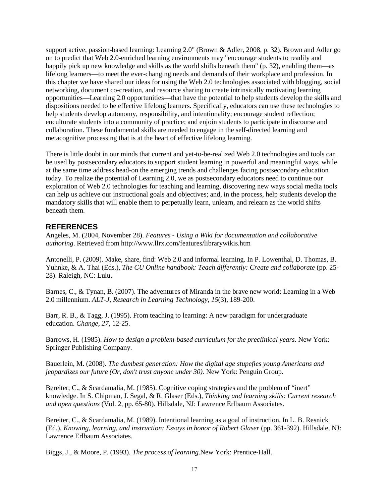support active, passion-based learning: Learning 2.0" (Brown & Adler, 2008, p. 32). Brown and Adler go on to predict that Web 2.0-enriched learning environments may "encourage students to readily and happily pick up new knowledge and skills as the world shifts beneath them" (p. 32), enabling them—as lifelong learners—to meet the ever-changing needs and demands of their workplace and profession. In this chapter we have shared our ideas for using the Web 2.0 technologies associated with blogging, social networking, document co-creation, and resource sharing to create intrinsically motivating learning opportunities—Learning 2.0 opportunities—that have the potential to help students develop the skills and dispositions needed to be effective lifelong learners. Specifically, educators can use these technologies to help students develop autonomy, responsibility, and intentionality; encourage student reflection; enculturate students into a community of practice; and enjoin students to participate in discourse and collaboration. These fundamental skills are needed to engage in the self-directed learning and metacognitive processing that is at the heart of effective lifelong learning.

There is little doubt in our minds that current and yet-to-be-realized Web 2.0 technologies and tools can be used by postsecondary educators to support student learning in powerful and meaningful ways, while at the same time address head-on the emerging trends and challenges facing postsecondary education today. To realize the potential of Learning 2.0, we as postsecondary educators need to continue our exploration of Web 2.0 technologies for teaching and learning, discovering new ways social media tools can help us achieve our instructional goals and objectives; and, in the process, help students develop the mandatory skills that will enable them to perpetually learn, unlearn, and relearn as the world shifts beneath them.

## **REFERENCES**

Angeles, M. (2004, November 28). *Features - Using a Wiki for documentation and collaborative authoring*. Retrieved from http://www.llrx.com/features/librarywikis.htm

Antonelli, P. (2009). Make, share, find: Web 2.0 and informal learning. In P. Lowenthal, D. Thomas, B. Yuhnke, & A. Thai (Eds.), *The CU Online handbook: Teach differently: Create and collaborate* (pp. 25- 28). Raleigh, NC: Lulu.

Barnes, C., & Tynan, B. (2007). The adventures of Miranda in the brave new world: Learning in a Web 2.0 millennium. *ALT-J, Research in Learning Technology, 15*(3), 189-200.

Barr, R. B., & Tagg, J. (1995). From teaching to learning: A new paradigm for undergraduate education. *Change, 27*, 12-25.

Barrows, H. (1985). *How to design a problem-based curriculum for the preclinical years*. New York: Springer Publishing Company.

Bauerlein, M. (2008). *The dumbest generation: How the digital age stupefies young Americans and jeopardizes our future (Or, don't trust anyone under 30).* New York: Penguin Group.

Bereiter, C., & Scardamalia, M. (1985). Cognitive coping strategies and the problem of "inert" knowledge. In S. Chipman, J. Segal, & R. Glaser (Eds.), *Thinking and learning skills: Current research and open questions* (Vol. 2, pp. 65-80). Hillsdale, NJ: Lawrence Erlbaum Associates.

Bereiter, C., & Scardamalia, M. (1989). Intentional learning as a goal of instruction. In L. B. Resnick (Ed.), *Knowing, learning, and instruction: Essays in honor of Robert Glaser* (pp. 361-392). Hillsdale, NJ: Lawrence Erlbaum Associates.

Biggs, J., & Moore, P. (1993). *The process of learning*.New York: Prentice-Hall.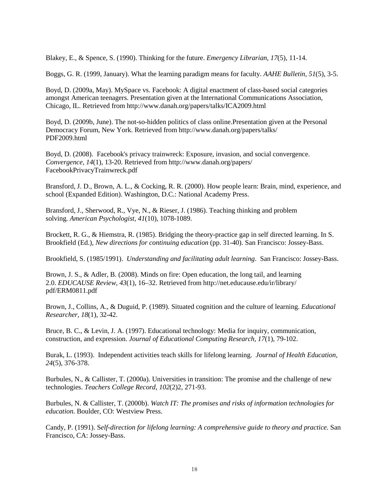Blakey, E., & Spence, S. (1990). Thinking for the future. *Emergency Librarian, 17*(5), 11-14.

Boggs, G. R. (1999, January). What the learning paradigm means for faculty. *AAHE Bulletin, 51*(5), 3-5.

Boyd, D. (2009a, May). MySpace vs. Facebook: A digital enactment of class-based social categories amongst American teenagers. Presentation given at the International Communications Association, Chicago, IL. Retrieved from http://www.danah.org/papers/talks/ICA2009.html

Boyd, D. (2009b, June). The not-so-hidden politics of class online.Presentation given at the Personal Democracy Forum, New York. Retrieved from http://www.danah.org/papers/talks/ PDF2009.html

Boyd, D. (2008). Facebook's privacy trainwreck: Exposure, invasion, and social convergence. *Convergence, 14*(1), 13-20. Retrieved from http://www.danah.org/papers/ FacebookPrivacyTrainwreck.pdf

Bransford, J. D., Brown, A. L., & Cocking, R. R. (2000). How people learn: Brain, mind, experience, and school (Expanded Edition). Washington, D.C.: National Academy Press.

Bransford, J., Sherwood, R., Vye, N., & Rieser, J. (1986). Teaching thinking and problem solving. *American Psychologist, 41*(10), 1078-1089.

Brockett, R. G., & Hiemstra, R. (1985). Bridging the theory-practice gap in self directed learning. In S. Brookfield (Ed.), *New directions for continuing education* (pp. 31-40). San Francisco: Jossey-Bass.

Brookfield, S. (1985/1991). *Understanding and facilitating adult learning*. San Francisco: Jossey-Bass.

Brown, J. S., & Adler, B. (2008). Minds on fire: Open education, the long tail, and learning 2.0. *EDUCAUSE Review, 43*(1), 16–32. Retrieved from http://net.educause.edu/ir/library/ pdf/ERM0811.pdf

Brown, J., Collins, A., & Duguid, P. (1989). Situated cognition and the culture of learning. *Educational Researcher, 18*(1), 32-42.

Bruce, B. C., & Levin, J. A. (1997). Educational technology: Media for inquiry, communication, construction, and expression. *Journal of Educational Computing Research, 17*(1), 79-102.

Burak, L. (1993). Independent activities teach skills for lifelong learning. *Journal of Health Education, 24*(5), 376-378.

Burbules, N., & Callister, T. (2000a). Universities in transition: The promise and the challenge of new technologies. *Teachers College Record, 102*(2)2, 271-93.

Burbules, N. & Callister, T. (2000b). *Watch IT: The promises and risks of information technologies for education*. Boulder, CO: Westview Press.

Candy, P. (1991). S*elf-direction for lifelong learning: A comprehensive guide to theory and practice.* San Francisco, CA: Jossey-Bass.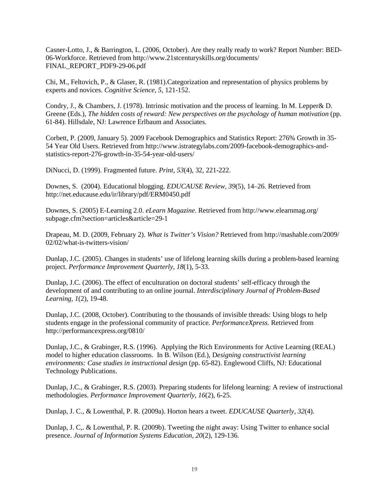Casner-Lotto, J., & Barrington, L. (2006, October). Are they really ready to work? Report Number: BED-06-Workforce. Retrieved from http://www.21stcenturyskills.org/documents/ FINAL\_REPORT\_PDF9-29-06.pdf

Chi, M., Feltovich, P., & Glaser, R. (1981).Categorization and representation of physics problems by experts and novices. *Cognitive Science, 5*, 121-152.

Condry, J., & Chambers, J. (1978). Intrinsic motivation and the process of learning. In M. Lepper& D. Greene (Eds.), *The hidden costs of reward: New perspectives on the psychology of human motivation* (pp. 61-84). Hillsdale, NJ: Lawrence Erlbaum and Associates.

Corbett, P. (2009, January 5). 2009 Facebook Demographics and Statistics Report: 276% Growth in 35- 54 Year Old Users. Retrieved from http://www.istrategylabs.com/2009-facebook-demographics-andstatistics-report-276-growth-in-35-54-year-old-users/

DiNucci, D. (1999). Fragmented future. *Print, 53*(4), 32, 221-222.

Downes, S. (2004). Educational blogging. *EDUCAUSE Review, 39*(5), 14–26. Retrieved from http://net.educause.edu/ir/library/pdf/ERM0450.pdf

Downes, S. (2005) E-Learning 2.0. *eLearn Magazine*. Retrieved from http://www.elearnmag.org/ subpage.cfm?section=articles&article=29-1

Drapeau, M. D. (2009, February 2). *What is Twitter's Vision?* Retrieved from http://mashable.com/2009/ 02/02/what-is-twitters-vision/

Dunlap, J.C. (2005). Changes in students' use of lifelong learning skills during a problem-based learning project. *Performance Improvement Quarterly, 18*(1), 5-33.

Dunlap, J.C. (2006). The effect of enculturation on doctoral students' self-efficacy through the development of and contributing to an online journal. *Interdisciplinary Journal of Problem-Based Learning, 1*(2), 19-48.

Dunlap, J.C. (2008, October). Contributing to the thousands of invisible threads: Using blogs to help students engage in the professional community of practice*. PerformanceXpress*. Retrieved from http://performancexpress.org/0810/

Dunlap, J.C., & Grabinger, R.S. (1996). Applying the Rich Environments for Active Learning (REAL) model to higher education classrooms. In B. Wilson (Ed.), D*esigning constructivist learning environments: Case studies in instructional design* (pp. 65-82). Englewood Cliffs, NJ: Educational Technology Publications.

Dunlap, J.C., & Grabinger, R.S. (2003). Preparing students for lifelong learning: A review of instructional methodologies. *Performance Improvement Quarterly, 16*(2), 6-25.

Dunlap, J. C., & Lowenthal, P. R. (2009a). Horton hears a tweet. *EDUCAUSE Quarterly, 32*(4).

Dunlap, J. C,. & Lowenthal, P. R. (2009b). Tweeting the night away: Using Twitter to enhance social presence. *Journal of Information Systems Education, 20*(2), 129-136.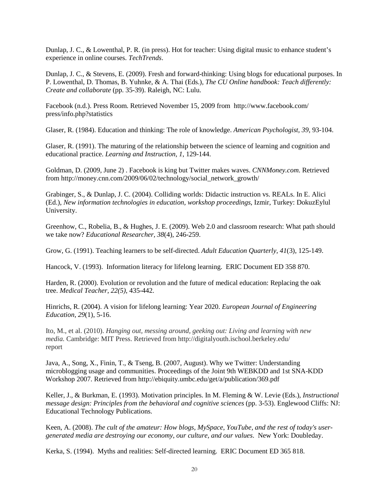Dunlap, J. C., & Lowenthal, P. R. (in press). Hot for teacher: Using digital music to enhance student's experience in online courses. *TechTrends*.

Dunlap, J. C., & Stevens, E. (2009). Fresh and forward-thinking: Using blogs for educational purposes. In P. Lowenthal, D. Thomas, B. Yuhnke, & A. Thai (Eds.), *The CU Online handbook: Teach differently: Create and collaborate* (pp. 35-39). Raleigh, NC: Lulu.

Facebook (n.d.). Press Room. Retrieved November 15, 2009 from http://www.facebook.com/ press/info.php?statistics

Glaser, R. (1984). Education and thinking: The role of knowledge. *American Psychologist, 39*, 93-104.

Glaser, R. (1991). The maturing of the relationship between the science of learning and cognition and educational practice. *Learning and Instruction, 1*, 129-144.

Goldman, D. (2009, June 2) . Facebook is king but Twitter makes waves. *CNNMoney.com*. Retrieved from http://money.cnn.com/2009/06/02/technology/social\_network\_growth/

Grabinger, S., & Dunlap, J. C. (2004). Colliding worlds: Didactic instruction vs. REALs. In E. Alici (Ed.), *New information technologies in education, workshop proceedings*, Izmir, Turkey: DokuzEylul University.

Greenhow, C., Robelia, B., & Hughes, J. E. (2009). Web 2.0 and classroom research: What path should we take now? *Educational Researcher, 38*(4), 246-259.

Grow, G. (1991). Teaching learners to be self-directed. *Adult Education Quarterly, 41*(3), 125-149.

Hancock, V. (1993). Information literacy for lifelong learning. ERIC Document ED 358 870.

Harden, R. (2000). Evolution or revolution and the future of medical education: Replacing the oak tree. *Medical Teacher*, *22(5)*, 435-442.

Hinrichs, R. (2004). A vision for lifelong learning: Year 2020. *European Journal of Engineering Education, 29*(1), 5-16.

Ito, M., et al. (2010). *Hanging out, messing around, geeking out: Living and learning with new media.* Cambridge: MIT Press. Retrieved from http://digitalyouth.ischool.berkeley.edu/ report

Java, A., Song, X., Finin, T., & Tseng, B. (2007, August). Why we Twitter: Understanding microblogging usage and communities. Proceedings of the Joint 9th WEBKDD and 1st SNA-KDD Workshop 2007. Retrieved from http://ebiquity.umbc.edu/get/a/publication/369.pdf

Keller, J., & Burkman, E. (1993). Motivation principles. In M. Fleming & W. Levie (Eds.), *Instructional message design: Principles from the behavioral and cognitive sciences* (pp. 3-53). Englewood Cliffs: NJ: Educational Technology Publications.

Keen, A. (2008). *The cult of the amateur: How blogs, MySpace, YouTube, and the rest of today's usergenerated media are destroying our economy, our culture, and our values*. New York: Doubleday.

Kerka, S. (1994). Myths and realities: Self-directed learning. ERIC Document ED 365 818.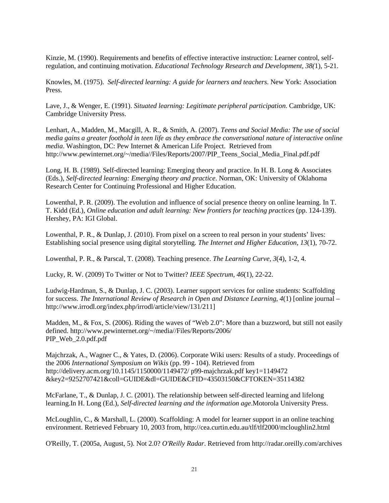Kinzie, M. (1990). Requirements and benefits of effective interactive instruction: Learner control, selfregulation, and continuing motivation. *Educational Technology Research and Development, 38(*1), 5-21.

Knowles, M. (1975). *Self-directed learning: A guide for learners and teachers*. New York: Association Press.

Lave, J., & Wenger, E. (1991). *Situated learning: Legitimate peripheral participation*. Cambridge, UK: Cambridge University Press.

Lenhart, A., Madden, M., Macgill, A. R., & Smith, A. (2007). *Teens and Social Media: The use of social media gains a greater foothold in teen life as they embrace the conversational nature of interactive online media*. Washington, DC: Pew Internet & American Life Project. Retrieved from http://www.pewinternet.org/~/media//Files/Reports/2007/PIP\_Teens\_Social\_Media\_Final.pdf.pdf

Long, H. B. (1989). Self-directed learning: Emerging theory and practice. In H. B. Long & Associates (Eds.), *Self-directed learning: Emerging theory and practice*. Norman, OK: University of Oklahoma Research Center for Continuing Professional and Higher Education.

Lowenthal, P. R. (2009). The evolution and influence of social presence theory on online learning. In T. T. Kidd (Ed.), *Online education and adult learning: New frontiers for teaching practices* (pp. 124-139). Hershey, PA: IGI Global.

Lowenthal, P. R., & Dunlap, J. (2010). From pixel on a screen to real person in your students' lives: Establishing social presence using digital storytelling. *The Internet and Higher Education, 13*(1), 70-72.

Lowenthal, P. R., & Parscal, T. (2008). Teaching presence. *The Learning Curve, 3*(4), 1-2, 4.

Lucky, R. W. (2009) To Twitter or Not to Twitter? *IEEE Spectrum, 46*(1), 22-22.

Ludwig-Hardman, S., & Dunlap, J. C. (2003). Learner support services for online students: Scaffolding for success. *The International Review of Research in Open and Distance Learning, 4*(1) [online journal – http://www.irrodl.org/index.php/irrodl/article/view/131/211]

Madden, M., & Fox, S. (2006). Riding the waves of "Web 2.0": More than a buzzword, but still not easily defined. http://www.pewinternet.org/~/media//Files/Reports/2006/ PIP\_Web\_2.0.pdf.pdf

Majchrzak, A., Wagner C., & Yates, D. (2006). Corporate Wiki users: Results of a study. Proceedings of the 2006 *International Symposium on Wikis* (pp. 99 - 104). Retrieved from http://delivery.acm.org/10.1145/1150000/1149472/ p99-majchrzak.pdf key1=1149472 &key2=9252707421&coll=GUIDE&dl=GUIDE&CFID=43503150&CFTOKEN=35114382

McFarlane, T., & Dunlap, J. C. (2001). The relationship between self-directed learning and lifelong learning.In H. Long (Ed.), *Self-directed learning and the information age*.Motorola University Press.

McLoughlin, C., & Marshall, L. (2000). Scaffolding: A model for learner support in an online teaching environment. Retrieved February 10, 2003 from, http://cea.curtin.edu.au/tlf/tlf2000/mcloughlin2.html

O'Reilly, T. (2005a, August, 5). Not 2.0? *O'Reilly Radar*. Retrieved from http://radar.oreilly.com/archives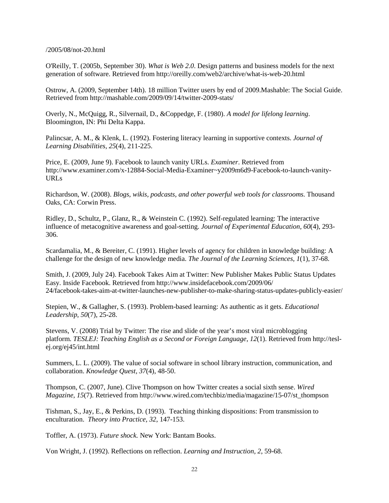/2005/08/not-20.html

O'Reilly, T. (2005b, September 30). *What is Web 2.0*. Design patterns and business models for the next generation of software. Retrieved from http://oreilly.com/web2/archive/what-is-web-20.html

Ostrow, A. (2009, September 14th). 18 million Twitter users by end of 2009.Mashable: The Social Guide. Retrieved from http://mashable.com/2009/09/14/twitter-2009-stats/

Overly, N., McQuigg, R., Silvernail, D., &Coppedge, F. (1980). *A model for lifelong learning*. Bloomington, IN: Phi Delta Kappa.

Palincsar, A. M., & Klenk, L. (1992). Fostering literacy learning in supportive contexts. *Journal of Learning Disabilities, 25*(4), 211-225.

Price, E. (2009, June 9). Facebook to launch vanity URLs. *Examiner*. Retrieved from http://www.examiner.com/x-12884-Social-Media-Examiner~y2009m6d9-Facebook-to-launch-vanity-URLs

Richardson, W. (2008). *Blogs, wikis, podcasts, and other powerful web tools for classrooms.* Thousand Oaks, CA: Corwin Press.

Ridley, D., Schultz, P., Glanz, R., & Weinstein C. (1992). Self-regulated learning: The interactive influence of metacognitive awareness and goal-setting. *Journal of Experimental Education, 60*(4), 293- 306.

Scardamalia, M., & Bereiter, C. (1991). Higher levels of agency for children in knowledge building: A challenge for the design of new knowledge media. *The Journal of the Learning Sciences, 1*(1), 37-68.

Smith, J. (2009, July 24). Facebook Takes Aim at Twitter: New Publisher Makes Public Status Updates Easy. Inside Facebook. Retrieved from http://www.insidefacebook.com/2009/06/ 24/facebook-takes-aim-at-twitter-launches-new-publisher-to-make-sharing-status-updates-publicly-easier/

Stepien, W., & Gallagher, S. (1993). Problem-based learning: As authentic as it gets. *Educational Leadership, 50*(7), 25-28.

Stevens, V. (2008) Trial by Twitter: The rise and slide of the year's most viral microblogging platform. *TESLEJ: Teaching English as a Second or Foreign Language, 12*(1). Retrieved from http://teslej.org/ej45/int.html

Summers, L. L. (2009). The value of social software in school library instruction, communication, and collaboration. *Knowledge Quest, 37*(4), 48-50.

Thompson, C. (2007, June). Clive Thompson on how Twitter creates a social sixth sense. *Wired Magazine, 15*(7). Retrieved from http://www.wired.com/techbiz/media/magazine/15-07/st\_thompson

Tishman, S., Jay, E., & Perkins, D. (1993). Teaching thinking dispositions: From transmission to enculturation. *Theory into Practice, 32*, 147-153.

Toffler, A. (1973). *Future shock.* New York: Bantam Books.

Von Wright, J. (1992). Reflections on reflection. *Learning and Instruction, 2*, 59-68.